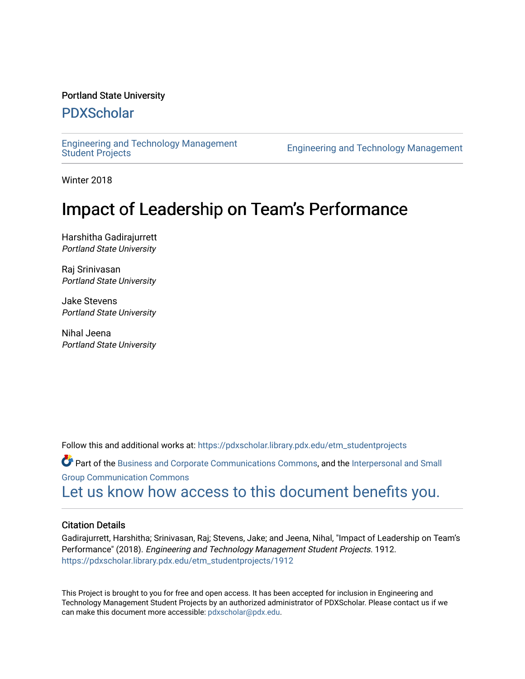#### Portland State University

# [PDXScholar](https://pdxscholar.library.pdx.edu/)

[Engineering and Technology Management](https://pdxscholar.library.pdx.edu/etm_studentprojects) 

Engineering and Technology Management

Winter 2018

# Impact of Leadership on Team's Performance

Harshitha Gadirajurrett Portland State University

Raj Srinivasan Portland State University

Jake Stevens Portland State University

Nihal Jeena Portland State University

Follow this and additional works at: [https://pdxscholar.library.pdx.edu/etm\\_studentprojects](https://pdxscholar.library.pdx.edu/etm_studentprojects?utm_source=pdxscholar.library.pdx.edu%2Fetm_studentprojects%2F1912&utm_medium=PDF&utm_campaign=PDFCoverPages) 

Part of the [Business and Corporate Communications Commons](http://network.bepress.com/hgg/discipline/627?utm_source=pdxscholar.library.pdx.edu%2Fetm_studentprojects%2F1912&utm_medium=PDF&utm_campaign=PDFCoverPages), and the [Interpersonal and Small](http://network.bepress.com/hgg/discipline/332?utm_source=pdxscholar.library.pdx.edu%2Fetm_studentprojects%2F1912&utm_medium=PDF&utm_campaign=PDFCoverPages)  [Group Communication Commons](http://network.bepress.com/hgg/discipline/332?utm_source=pdxscholar.library.pdx.edu%2Fetm_studentprojects%2F1912&utm_medium=PDF&utm_campaign=PDFCoverPages) 

[Let us know how access to this document benefits you.](http://library.pdx.edu/services/pdxscholar-services/pdxscholar-feedback/?ref=https://pdxscholar.library.pdx.edu/etm_studentprojects/1912) 

#### Citation Details

Gadirajurrett, Harshitha; Srinivasan, Raj; Stevens, Jake; and Jeena, Nihal, "Impact of Leadership on Team's Performance" (2018). Engineering and Technology Management Student Projects. 1912. [https://pdxscholar.library.pdx.edu/etm\\_studentprojects/1912](https://pdxscholar.library.pdx.edu/etm_studentprojects/1912?utm_source=pdxscholar.library.pdx.edu%2Fetm_studentprojects%2F1912&utm_medium=PDF&utm_campaign=PDFCoverPages)

This Project is brought to you for free and open access. It has been accepted for inclusion in Engineering and Technology Management Student Projects by an authorized administrator of PDXScholar. Please contact us if we can make this document more accessible: [pdxscholar@pdx.edu.](mailto:pdxscholar@pdx.edu)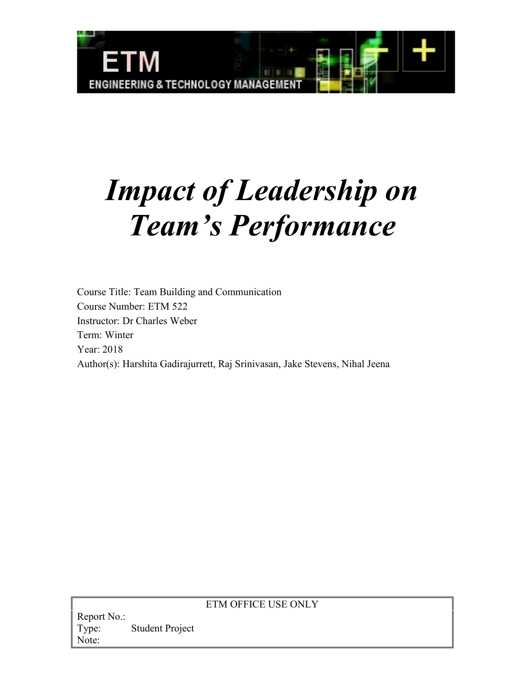

# *Impact of Leadership on Team's Performance*

Course Title: Team Building and Communication Course Number: ETM 522 Instructor: Dr Charles Weber Term: Winter Year: 2018 Author(s): Harshita Gadirajurrett, Raj Srinivasan, Jake Stevens, Nihal Jeena

# ETM OFFICE USE ONLY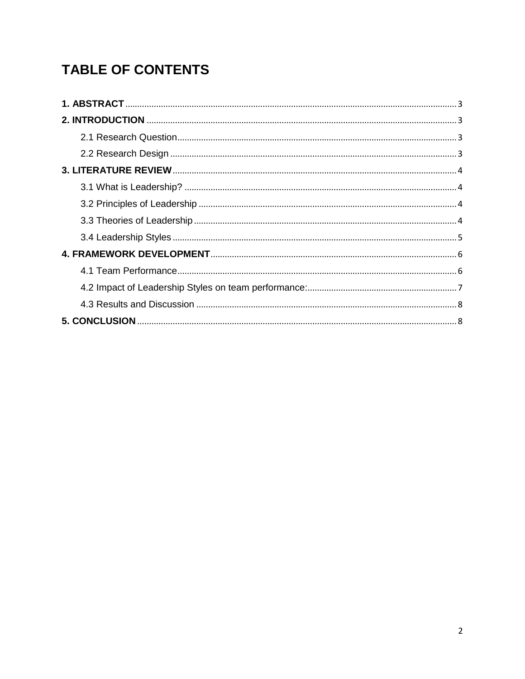# **TABLE OF CONTENTS**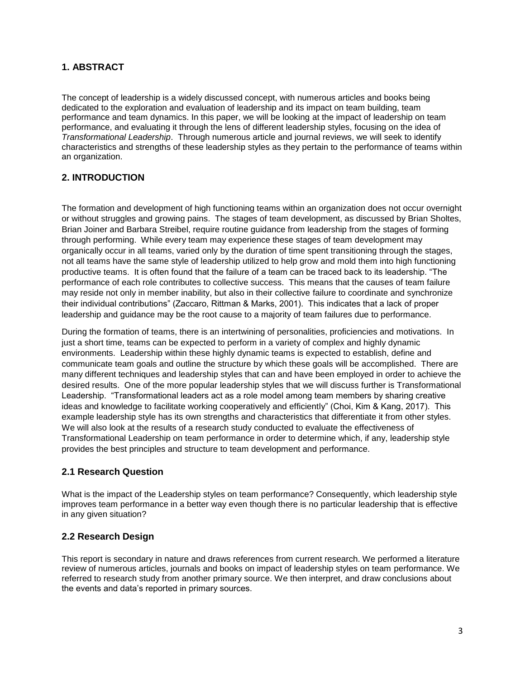# <span id="page-3-0"></span>**1. ABSTRACT**

The concept of leadership is a widely discussed concept, with numerous articles and books being dedicated to the exploration and evaluation of leadership and its impact on team building, team performance and team dynamics. In this paper, we will be looking at the impact of leadership on team performance, and evaluating it through the lens of different leadership styles, focusing on the idea of *Transformational Leadership*. Through numerous article and journal reviews, we will seek to identify characteristics and strengths of these leadership styles as they pertain to the performance of teams within an organization.

# <span id="page-3-1"></span>**2. INTRODUCTION**

The formation and development of high functioning teams within an organization does not occur overnight or without struggles and growing pains. The stages of team development, as discussed by Brian Sholtes, Brian Joiner and Barbara Streibel, require routine guidance from leadership from the stages of forming through performing. While every team may experience these stages of team development may organically occur in all teams, varied only by the duration of time spent transitioning through the stages, not all teams have the same style of leadership utilized to help grow and mold them into high functioning productive teams. It is often found that the failure of a team can be traced back to its leadership. "The performance of each role contributes to collective success. This means that the causes of team failure may reside not only in member inability, but also in their collective failure to coordinate and synchronize their individual contributions" (Zaccaro, Rittman & Marks, 2001). This indicates that a lack of proper leadership and guidance may be the root cause to a majority of team failures due to performance.

During the formation of teams, there is an intertwining of personalities, proficiencies and motivations. In just a short time, teams can be expected to perform in a variety of complex and highly dynamic environments. Leadership within these highly dynamic teams is expected to establish, define and communicate team goals and outline the structure by which these goals will be accomplished. There are many different techniques and leadership styles that can and have been employed in order to achieve the desired results. One of the more popular leadership styles that we will discuss further is Transformational Leadership. "Transformational leaders act as a role model among team members by sharing creative ideas and knowledge to facilitate working cooperatively and efficiently" (Choi, Kim & Kang, 2017). This example leadership style has its own strengths and characteristics that differentiate it from other styles. We will also look at the results of a research study conducted to evaluate the effectiveness of Transformational Leadership on team performance in order to determine which, if any, leadership style provides the best principles and structure to team development and performance.

## <span id="page-3-2"></span>**2.1 Research Question**

What is the impact of the Leadership styles on team performance? Consequently, which leadership style improves team performance in a better way even though there is no particular leadership that is effective in any given situation?

## <span id="page-3-3"></span>**2.2 Research Design**

This report is secondary in nature and draws references from current research. We performed a literature review of numerous articles, journals and books on impact of leadership styles on team performance. We referred to research study from another primary source. We then interpret, and draw conclusions about the events and data's reported in primary sources.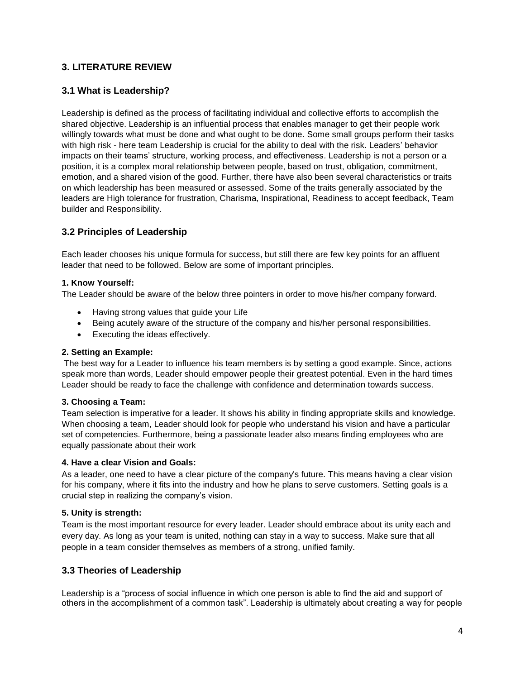# <span id="page-4-1"></span><span id="page-4-0"></span>**3. LITERATURE REVIEW**

## **3.1 What is Leadership?**

Leadership is defined as the process of facilitating individual and collective efforts to accomplish the shared objective. Leadership is an influential process that enables manager to get their people work willingly towards what must be done and what ought to be done. Some small groups perform their tasks with high risk - here team Leadership is crucial for the ability to deal with the risk. Leaders' behavior impacts on their teams' structure, working process, and effectiveness. Leadership is not a person or a position, it is a complex moral relationship between people, based on trust, obligation, commitment, emotion, and a shared vision of the good. Further, there have also been several characteristics or traits on which leadership has been measured or assessed. Some of the traits generally associated by the leaders are High tolerance for frustration, Charisma, Inspirational, Readiness to accept feedback, Team builder and Responsibility.

# <span id="page-4-2"></span>**3.2 Principles of Leadership**

Each leader chooses his unique formula for success, but still there are few key points for an affluent leader that need to be followed. Below are some of important principles.

#### **1. Know Yourself:**

The Leader should be aware of the below three pointers in order to move his/her company forward.

- Having strong values that guide your Life
- Being acutely aware of the structure of the company and his/her personal responsibilities.
- Executing the ideas effectively.

#### **2. Setting an Example:**

The best way for a Leader to influence his team members is by setting a good example. Since, actions speak more than words, Leader should empower people their greatest potential. Even in the hard times Leader should be ready to face the challenge with confidence and determination towards success.

#### **3. Choosing a Team:**

Team selection is imperative for a leader. It shows his ability in finding appropriate skills and knowledge. When choosing a team, Leader should look for people who understand his vision and have a particular set of competencies. Furthermore, being a passionate leader also means finding employees who are equally passionate about their work

#### **4. Have a clear Vision and Goals:**

As a leader, one need to have a clear picture of the company's future. This means having a clear vision for his company, where it fits into the industry and how he plans to serve customers. Setting goals is a crucial step in realizing the company's vision.

#### **5. Unity is strength:**

Team is the most important resource for every leader. Leader should embrace about its unity each and every day. As long as your team is united, nothing can stay in a way to success. Make sure that all people in a team consider themselves as members of a strong, unified family.

## <span id="page-4-3"></span>**3.3 Theories of Leadership**

Leadership is a "process of social influence in which one person is able to find the aid and support of others in the accomplishment of a common task". Leadership is ultimately about creating a way for people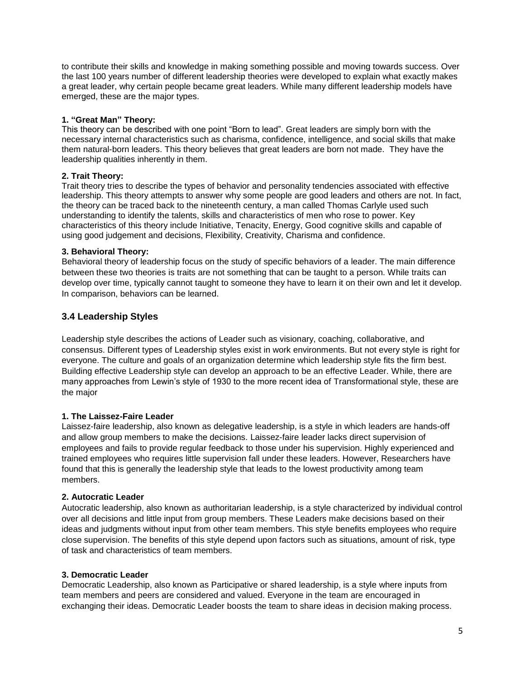to contribute their skills and knowledge in making something possible and moving towards success. Over the last 100 years number of different leadership theories were developed to explain what exactly makes a great leader, why certain people became great leaders. While many different leadership models have emerged, these are the major types.

#### **1. "Great Man" Theory:**

This theory can be described with one point "Born to lead". Great leaders are simply born with the necessary internal characteristics such as charisma, confidence, intelligence, and social skills that make them natural-born leaders. This theory believes that great leaders are born not made. They have the leadership qualities inherently in them.

#### **2. Trait Theory:**

Trait theory tries to describe the types of behavior and personality tendencies associated with effective leadership. This theory attempts to answer why some people are good leaders and others are not. In fact, the theory can be traced back to the nineteenth century, a man called Thomas Carlyle used such understanding to identify the talents, skills and characteristics of men who rose to power. Key characteristics of this theory include Initiative, Tenacity, Energy, Good cognitive skills and capable of using good judgement and decisions, Flexibility, Creativity, Charisma and confidence.

#### **3. Behavioral Theory:**

Behavioral theory of leadership focus on the study of specific behaviors of a leader. The main difference between these two theories is traits are not something that can be taught to a person. While traits can develop over time, typically cannot taught to someone they have to learn it on their own and let it develop. In comparison, behaviors can be learned.

#### <span id="page-5-0"></span>**3.4 Leadership Styles**

Leadership style describes the actions of Leader such as visionary, coaching, collaborative, and consensus. Different types of Leadership styles exist in work environments. But not every style is right for everyone. The culture and goals of an organization determine which leadership style fits the firm best. Building effective Leadership style can develop an approach to be an effective Leader. While, there are many approaches from Lewin's style of 1930 to the more recent idea of Transformational style, these are the major

#### **1. The Laissez-Faire Leader**

Laissez-faire leadership, also known as delegative leadership, is a style in which leaders are hands-off and allow group members to make the decisions. Laissez-faire leader lacks direct supervision of employees and fails to provide regular feedback to those under his supervision. Highly experienced and trained employees who requires little supervision fall under these leaders. However, Researchers have found that this is generally the leadership style that leads to the lowest productivity among team members.

#### **2. Autocratic Leader**

Autocratic leadership, also known as authoritarian leadership, is a style characterized by individual control over all decisions and little input from group members. These Leaders make decisions based on their ideas and judgments without input from other team members. This style benefits employees who require close supervision. The benefits of this style depend upon factors such as situations, amount of risk, type of task and characteristics of team members.

#### **3. Democratic Leader**

Democratic Leadership, also known as Participative or shared leadership, is a style where inputs from team members and peers are considered and valued. Everyone in the team are encouraged in exchanging their ideas. Democratic Leader boosts the team to share ideas in decision making process.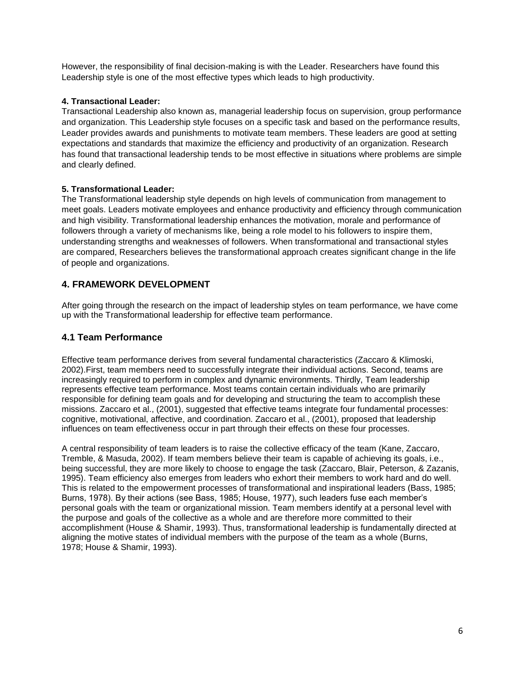However, the responsibility of final decision-making is with the Leader. Researchers have found this Leadership style is one of the most effective types which leads to high productivity.

#### **4. Transactional Leader:**

Transactional Leadership also known as, managerial leadership focus on supervision, group performance and organization. This Leadership style focuses on a specific task and based on the performance results, Leader provides awards and punishments to motivate team members. These leaders are good at setting expectations and standards that maximize the efficiency and productivity of an organization. Research has found that transactional leadership tends to be most effective in situations where problems are simple and clearly defined.

## **5. Transformational Leader:**

The Transformational leadership style depends on high levels of communication from management to meet goals. Leaders motivate employees and enhance productivity and efficiency through communication and high visibility. Transformational leadership enhances the motivation, morale and performance of followers through a variety of mechanisms like, being a role model to his followers to inspire them, understanding strengths and weaknesses of followers. When transformational and transactional styles are compared, Researchers believes the transformational approach creates significant change in the life of people and organizations.

# <span id="page-6-0"></span>**4. FRAMEWORK DEVELOPMENT**

After going through the research on the impact of leadership styles on team performance, we have come up with the Transformational leadership for effective team performance.

# <span id="page-6-1"></span>**4.1 Team Performance**

Effective team performance derives from several fundamental characteristics (Zaccaro & Klimoski, 2002).First, team members need to successfully integrate their individual actions. Second, teams are increasingly required to perform in complex and dynamic environments. Thirdly, Team leadership represents effective team performance. Most teams contain certain individuals who are primarily responsible for defining team goals and for developing and structuring the team to accomplish these missions. Zaccaro et al., (2001), suggested that effective teams integrate four fundamental processes: cognitive, motivational, affective, and coordination. Zaccaro et al., (2001), proposed that leadership influences on team effectiveness occur in part through their effects on these four processes.

A central responsibility of team leaders is to raise the collective efficacy of the team (Kane, Zaccaro, Tremble, & Masuda, 2002). If team members believe their team is capable of achieving its goals, i.e., being successful, they are more likely to choose to engage the task (Zaccaro, Blair, Peterson, & Zazanis, 1995). Team efficiency also emerges from leaders who exhort their members to work hard and do well. This is related to the empowerment processes of transformational and inspirational leaders (Bass, 1985; Burns, 1978). By their actions (see Bass, 1985; House, 1977), such leaders fuse each member's personal goals with the team or organizational mission. Team members identify at a personal level with the purpose and goals of the collective as a whole and are therefore more committed to their accomplishment (House & Shamir, 1993). Thus, transformational leadership is fundamentally directed at aligning the motive states of individual members with the purpose of the team as a whole (Burns, 1978; House & Shamir, 1993).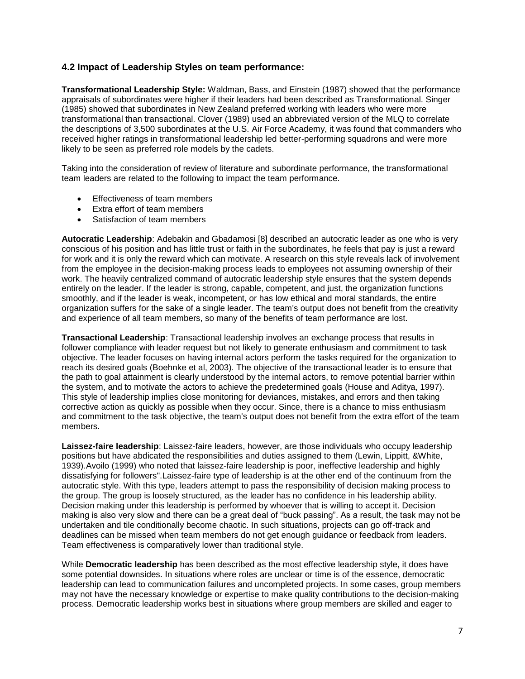#### <span id="page-7-0"></span>**4.2 Impact of Leadership Styles on team performance:**

**Transformational Leadership Style:** Waldman, Bass, and Einstein (1987) showed that the performance appraisals of subordinates were higher if their leaders had been described as Transformational. Singer (1985) showed that subordinates in New Zealand preferred working with leaders who were more transformational than transactional. Clover (1989) used an abbreviated version of the MLQ to correlate the descriptions of 3,500 subordinates at the U.S. Air Force Academy, it was found that commanders who received higher ratings in transformational leadership led better-performing squadrons and were more likely to be seen as preferred role models by the cadets.

Taking into the consideration of review of literature and subordinate performance, the transformational team leaders are related to the following to impact the team performance.

- **Effectiveness of team members**
- Extra effort of team members
- Satisfaction of team members

**Autocratic Leadership**: Adebakin and Gbadamosi [8] described an autocratic leader as one who is very conscious of his position and has little trust or faith in the subordinates, he feels that pay is just a reward for work and it is only the reward which can motivate. A research on this style reveals lack of involvement from the employee in the decision-making process leads to employees not assuming ownership of their work. The heavily centralized command of autocratic leadership style ensures that the system depends entirely on the leader. If the leader is strong, capable, competent, and just, the organization functions smoothly, and if the leader is weak, incompetent, or has low ethical and moral standards, the entire organization suffers for the sake of a single leader. The team's output does not benefit from the creativity and experience of all team members, so many of the benefits of team performance are lost.

**Transactional Leadership**: Transactional leadership involves an exchange process that results in follower compliance with leader request but not likely to generate enthusiasm and commitment to task objective. The leader focuses on having internal actors perform the tasks required for the organization to reach its desired goals (Boehnke et al, 2003). The objective of the transactional leader is to ensure that the path to goal attainment is clearly understood by the internal actors, to remove potential barrier within the system, and to motivate the actors to achieve the predetermined goals (House and Aditya, 1997). This style of leadership implies close monitoring for deviances, mistakes, and errors and then taking corrective action as quickly as possible when they occur. Since, there is a chance to miss enthusiasm and commitment to the task objective, the team's output does not benefit from the extra effort of the team members.

**Laissez-faire leadership**: Laissez-faire leaders, however, are those individuals who occupy leadership positions but have abdicated the responsibilities and duties assigned to them (Lewin, Lippitt, &White, 1939).Avoilo (1999) who noted that laissez-faire leadership is poor, ineffective leadership and highly dissatisfying for followers".Laissez-faire type of leadership is at the other end of the continuum from the autocratic style. With this type, leaders attempt to pass the responsibility of decision making process to the group. The group is loosely structured, as the leader has no confidence in his leadership ability. Decision making under this leadership is performed by whoever that is willing to accept it. Decision making is also very slow and there can be a great deal of "buck passing". As a result, the task may not be undertaken and tile conditionally become chaotic. In such situations, projects can go off-track and deadlines can be missed when team members do not get enough guidance or feedback from leaders. Team effectiveness is comparatively lower than traditional style.

While **Democratic leadership** has been described as the most effective leadership style, it does have some potential downsides. In situations where roles are unclear or time is of the essence, democratic leadership can lead to communication failures and uncompleted projects. In some cases, group members may not have the necessary knowledge or expertise to make quality contributions to the decision-making process. Democratic leadership works best in situations where group members are skilled and eager to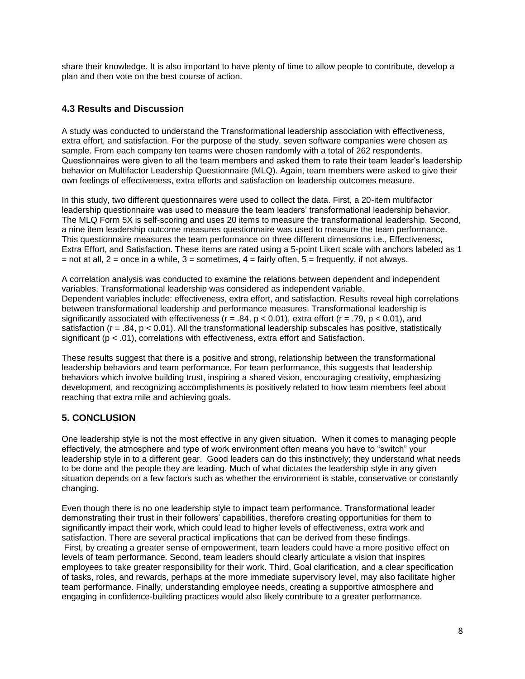share their knowledge. It is also important to have plenty of time to allow people to contribute, develop a plan and then vote on the best course of action.

# <span id="page-8-0"></span>**4.3 Results and Discussion**

A study was conducted to understand the Transformational leadership association with effectiveness, extra effort, and satisfaction. For the purpose of the study, seven software companies were chosen as sample. From each company ten teams were chosen randomly with a total of 262 respondents. Questionnaires were given to all the team members and asked them to rate their team leader's leadership behavior on Multifactor Leadership Questionnaire (MLQ). Again, team members were asked to give their own feelings of effectiveness, extra efforts and satisfaction on leadership outcomes measure.

In this study, two different questionnaires were used to collect the data. First, a 20-item multifactor leadership questionnaire was used to measure the team leaders' transformational leadership behavior. The MLQ Form 5X is self-scoring and uses 20 items to measure the transformational leadership. Second, a nine item leadership outcome measures questionnaire was used to measure the team performance. This questionnaire measures the team performance on three different dimensions i.e., Effectiveness, Extra Effort, and Satisfaction. These items are rated using a 5-point Likert scale with anchors labeled as 1  $=$  not at all,  $2 =$  once in a while,  $3 =$  sometimes,  $4 =$  fairly often,  $5 =$  frequently, if not always.

A correlation analysis was conducted to examine the relations between dependent and independent variables. Transformational leadership was considered as independent variable. Dependent variables include: effectiveness, extra effort, and satisfaction. Results reveal high correlations between transformational leadership and performance measures. Transformational leadership is significantly associated with effectiveness ( $r = .84$ ,  $p < 0.01$ ), extra effort ( $r = .79$ ,  $p < 0.01$ ), and satisfaction ( $r = .84$ ,  $p < 0.01$ ). All the transformational leadership subscales has positive, statistically significant ( $p < .01$ ), correlations with effectiveness, extra effort and Satisfaction.

These results suggest that there is a positive and strong, relationship between the transformational leadership behaviors and team performance. For team performance, this suggests that leadership behaviors which involve building trust, inspiring a shared vision, encouraging creativity, emphasizing development, and recognizing accomplishments is positively related to how team members feel about reaching that extra mile and achieving goals.

## <span id="page-8-1"></span>**5. CONCLUSION**

One leadership style is not the most effective in any given situation. When it comes to managing people effectively, the atmosphere and type of work environment often means you have to "switch" your leadership style in to a different gear. Good leaders can do this instinctively; they understand what needs to be done and the people they are leading. Much of what dictates the leadership style in any given situation depends on a few factors such as whether the environment is stable, conservative or constantly changing.

Even though there is no one leadership style to impact team performance, Transformational leader demonstrating their trust in their followers' capabilities, therefore creating opportunities for them to significantly impact their work, which could lead to higher levels of effectiveness, extra work and satisfaction. There are several practical implications that can be derived from these findings. First, by creating a greater sense of empowerment, team leaders could have a more positive effect on levels of team performance. Second, team leaders should clearly articulate a vision that inspires employees to take greater responsibility for their work. Third, Goal clarification, and a clear specification of tasks, roles, and rewards, perhaps at the more immediate supervisory level, may also facilitate higher team performance. Finally, understanding employee needs, creating a supportive atmosphere and engaging in confidence-building practices would also likely contribute to a greater performance.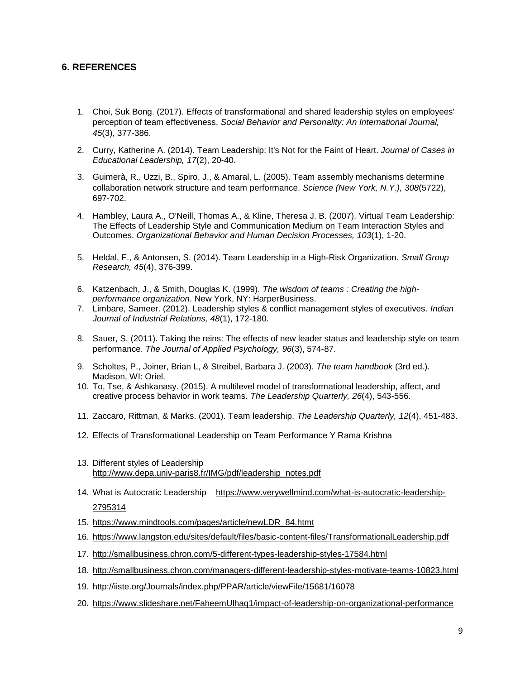#### **6. REFERENCES**

- 1. Choi, Suk Bong. (2017). Effects of transformational and shared leadership styles on employees' perception of team effectiveness. *Social Behavior and Personality: An International Journal, 45*(3), 377-386.
- 2. Curry, Katherine A. (2014). Team Leadership: It's Not for the Faint of Heart. *Journal of Cases in Educational Leadership, 17*(2), 20-40.
- 3. Guimerà, R., Uzzi, B., Spiro, J., & Amaral, L. (2005). Team assembly mechanisms determine collaboration network structure and team performance. *Science (New York, N.Y.), 308*(5722), 697-702.
- 4. Hambley, Laura A., O'Neill, Thomas A., & Kline, Theresa J. B. (2007). Virtual Team Leadership: The Effects of Leadership Style and Communication Medium on Team Interaction Styles and Outcomes. *Organizational Behavior and Human Decision Processes, 103*(1), 1-20.
- 5. Heldal, F., & Antonsen, S. (2014). Team Leadership in a High-Risk Organization. *Small Group Research, 45*(4), 376-399.
- 6. Katzenbach, J., & Smith, Douglas K. (1999). *The wisdom of teams : Creating the highperformance organization*. New York, NY: HarperBusiness.
- 7. Limbare, Sameer. (2012). Leadership styles & conflict management styles of executives. *Indian Journal of Industrial Relations, 48*(1), 172-180.
- 8. Sauer, S. (2011). Taking the reins: The effects of new leader status and leadership style on team performance. *The Journal of Applied Psychology, 96*(3), 574-87.
- 9. Scholtes, P., Joiner, Brian L, & Streibel, Barbara J. (2003). *The team handbook* (3rd ed.). Madison, WI: Oriel.
- 10. To, Tse, & Ashkanasy. (2015). A multilevel model of transformational leadership, affect, and creative process behavior in work teams. *The Leadership Quarterly, 26*(4), 543-556.
- 11. Zaccaro, Rittman, & Marks. (2001). Team leadership. *The Leadership Quarterly, 12*(4), 451-483.
- 12. Effects of Transformational Leadership on Team Performance Y Rama Krishna
- 13. Different styles of Leadership [http://www.depa.univ-paris8.fr/IMG/pdf/leadership\\_notes.pdf](http://www.depa.univ-paris8.fr/IMG/pdf/leadership_notes.pdf)
- 14. What is Autocratic Leadership [https://www.verywellmind.com/what-is-autocratic-leadership-](https://www.verywellmind.com/what-is-autocratic-leadership-2795314)[2795314](https://www.verywellmind.com/what-is-autocratic-leadership-2795314)
- 15. [https://www.mindtools.com/pages/article/newLDR\\_84.htmt](https://www.mindtools.com/pages/article/newLDR_84.htm)
- 16. <https://www.langston.edu/sites/default/files/basic-content-files/TransformationalLeadership.pdf>
- 17. <http://smallbusiness.chron.com/5-different-types-leadership-styles-17584.html>
- 18. <http://smallbusiness.chron.com/managers-different-leadership-styles-motivate-teams-10823.html>
- 19. <http://iiste.org/Journals/index.php/PPAR/article/viewFile/15681/16078>
- 20. <https://www.slideshare.net/FaheemUlhaq1/impact-of-leadership-on-organizational-performance>